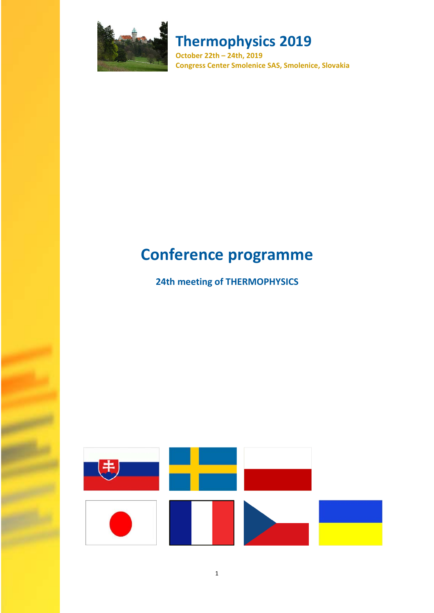

**October 22th – 24th, 2019 Congress Center Smolenice SAS, Smolenice, Slovakia**

# **Conference programme**

## **24th meeting of THERMOPHYSICS**

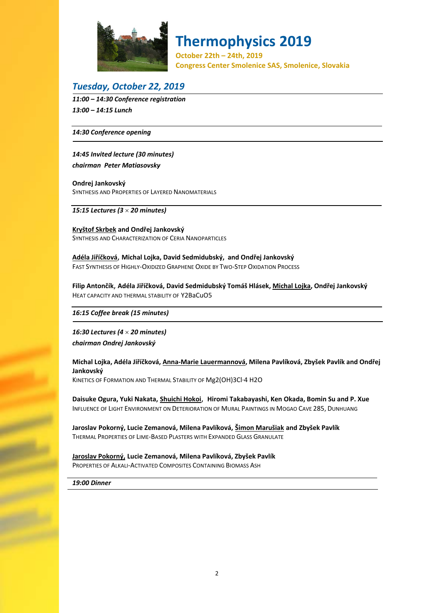

**October 22th – 24th, 2019 Congress Center Smolenice SAS, Smolenice, Slovakia**

### *Tuesday, October 22, 2019*

*11:00 – 14:30 Conference registration 13:00 – 14:15 Lunch* 

*14:30 Conference opening* 

*14:45 Invited lecture (30 minutes) chairman Peter Matiasovsky*

**Ondrej Jankovský** SYNTHESIS AND PROPERTIES OF LAYERED NANOMATERIALS

*15:15 Lectures (3 20 minutes)* 

**Kryštof Skrbek and Ondřej Jankovský** SYNTHESIS AND CHARACTERIZATION OF CERIA NANOPARTICLES

**Adéla Jiříčková**, **Michal Lojka, David Sedmidubský, and Ondřej Jankovský** FAST SYNTHESIS OF HIGHLY‐OXIDIZED GRAPHENE OXIDE BY TWO‐STEP OXIDATION PROCESS

Filip Antončík, Adéla Jiříčková, David Sedmidubský Tomáš Hlásek, Michal Lojka, Ondřej Jankovský HEAT CAPACITY AND THERMAL STABILITY OF Y2BaCuO5

*16:15 Coffee break (15 minutes)*

*16:30 Lectures (4 20 minutes) chairman Ondrej Jankovský*

Michal Lojka, Adéla Jiříčková, Anna-Marie Lauermannová, Milena Pavlíková, Zbyšek Pavlík and Ondřej **Jankovský** KINETICS OF FORMATION AND THERMAL STABILITY OF Mg2(OH)3Cl∙4 H2O

**Daisuke Ogura, Yuki Nakata, Shuichi Hokoi**, **Hiromi Takabayashi, Ken Okada, Bomin Su and P. Xue** INFLUENCE OF LIGHT ENVIRONMENT ON DETERIORATION OF MURAL PAINTINGS IN MOGAO CAVE 285, DUNHUANG

**Jaroslav Pokorný, Lucie Zemanová, Milena Pavlíková, Šimon Marušiak and Zbyšek Pavlík** THERMAL PROPERTIES OF LIME‐BASED PLASTERS WITH EXPANDED GLASS GRANULATE

**Jaroslav Pokorný, Lucie Zemanová, Milena Pavlíková, Zbyšek Pavlík** PROPERTIES OF ALKALI‐ACTIVATED COMPOSITES CONTAINING BIOMASS ASH

*19:00 Dinner*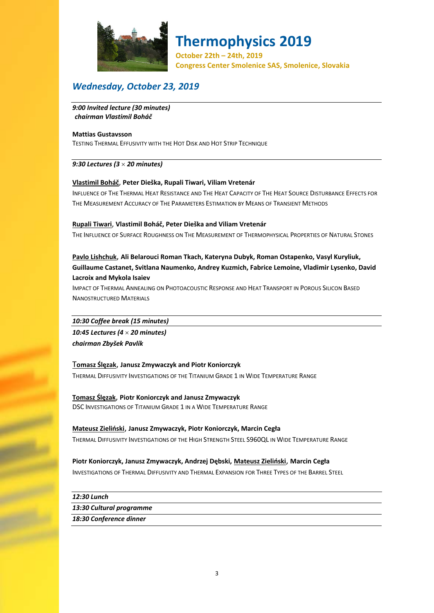

**October 22th – 24th, 2019 Congress Center Smolenice SAS, Smolenice, Slovakia**

### *Wednesday, October 23, 2019*

*9:00 Invited lecture (30 minutes) chairman Vlastimil Boháč*

#### **Mattias Gustavsson**

TESTING THERMAL EFFUSIVITY WITH THE HOT DISK AND HOT STRIP TECHNIQUE

#### *9:30 Lectures (3 20 minutes)*

#### **Vlastimil Boháč**, **Peter Dieška, Rupali Tiwari, Viliam Vretenár**

INFLUENCE OF THE THERMAL HEAT RESISTANCE AND THE HEAT CAPACITY OF THE HEAT SOURCE DISTURBANCE EFFECTS FOR THE MEASUREMENT ACCURACY OF THE PARAMETERS ESTIMATION BY MEANS OF TRANSIENT METHODS

#### **Rupali Tiwari**, **Vlastimil Boháč, Peter Dieška and Viliam Vretenár**

THE INFLUENCE OF SURFACE ROUGHNESS ON THE MEASUREMENT OF THERMOPHYSICAL PROPERTIES OF NATURAL STONES

#### **Pavlo Lishchuk**, **Ali Belarouci Roman Tkach, Kateryna Dubyk, Roman Ostapenko, Vasyl Kuryliuk, Guillaume Castanet, Svitlana Naumenko, Andrey Kuzmich, Fabrice Lemoine, Vladimir Lysenko, David Lacroix and Mykola Isaiev**

IMPACT OF THERMAL ANNEALING ON PHOTOACOUSTIC RESPONSE AND HEAT TRANSPORT IN POROUS SILICON BASED NANOSTRUCTURED MATERIALS

#### *10:30 Coffee break (15 minutes)*

*10:45 Lectures (4 20 minutes) chairman Zbyšek Pavlík*

#### T**omasz Ślęzak**, **Janusz Zmywaczyk and Piotr Koniorczyk**

THERMAL DIFFUSIVITY INVESTIGATIONS OF THE TITANIUM GRADE 1 IN WIDE TEMPERATURE RANGE

**Tomasz Ślęzak**, **Piotr Koniorczyk and Janusz Zmywaczyk** DSC INVESTIGATIONS OF TITANIUM GRADE 1 IN A WIDE TEMPERATURE RANGE

### **Mateusz Zieliński**, **Janusz Zmywaczyk, Piotr Koniorczyk, Marcin Cegła**

THERMAL DIFFUSIVITY INVESTIGATIONS OF THE HIGH STRENGTH STEEL S960QL IN WIDE TEMPERATURE RANGE

#### **Piotr Koniorczyk, Janusz Zmywaczyk, Andrzej Dębski, Mateusz Zieliński**, **Marcin Cegła**

INVESTIGATIONS OF THERMAL DIFFUSIVITY AND THERMAL EXPANSION FOR THREE TYPES OF THE BARREL STEEL

*12:30 Lunch* 

#### *13:30 Cultural programme*

*18:30 Conference dinner*